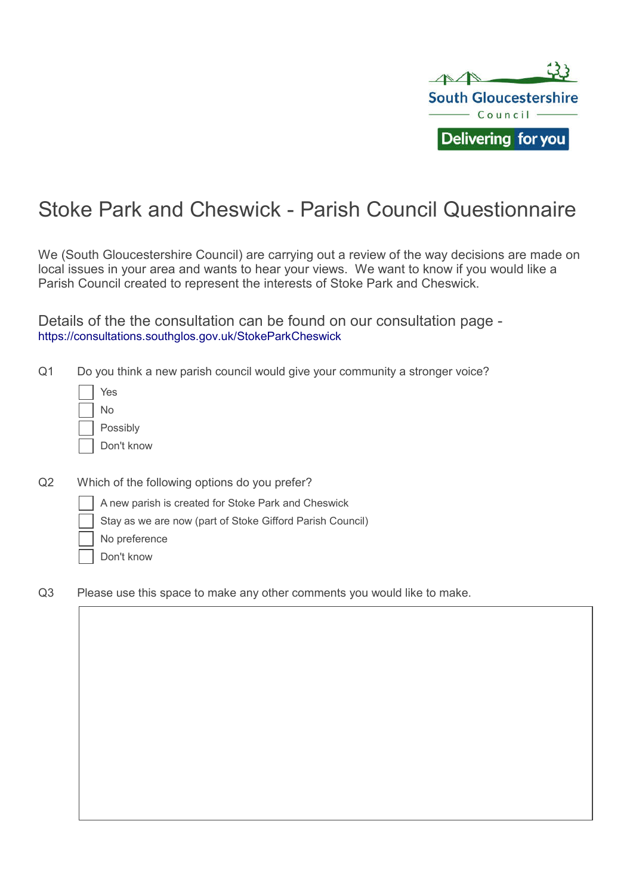

## Stoke Park and Cheswick - Parish Council Questionnaire

We (South Gloucestershire Council) are carrying out a review of the way decisions are made on local issues in your area and wants to hear your views. We want to know if you would like a Parish Council created to represent the interests of Stoke Park and Cheswick.

Details of the the consultation can be found on our consultation page - https://consultations.southglos.gov.uk/StokeParkCheswick

Q1 Do you think a new parish council would give your community a stronger voice?

| Yes        |
|------------|
| N٥         |
| Possibly   |
| Don't know |

- Q2 Which of the following options do you prefer?
	- A new parish is created for Stoke Park and Cheswick
	- Stay as we are now (part of Stoke Gifford Parish Council)
	- No preference
	- Don't know
- Q3 Please use this space to make any other comments you would like to make.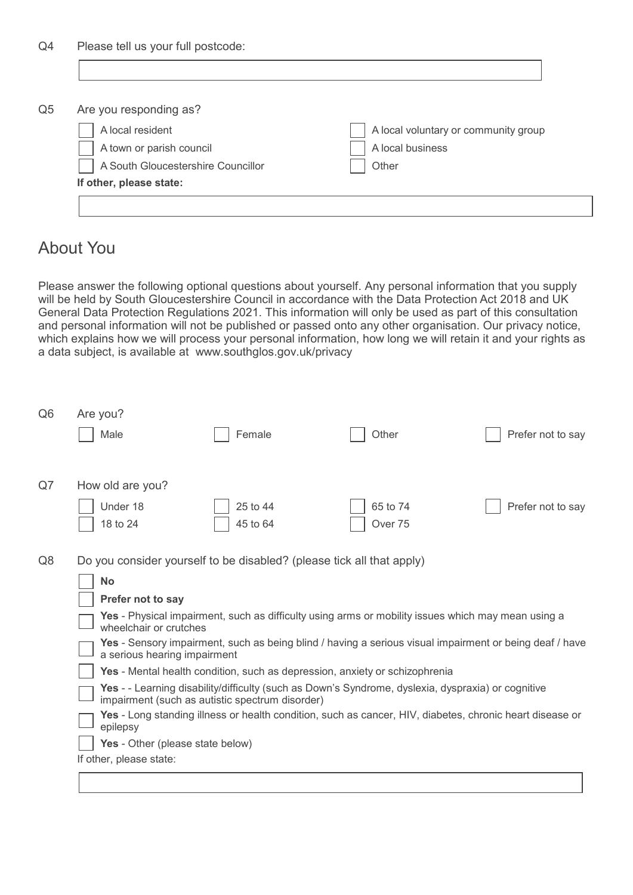| Are you responding as?             |                                      |
|------------------------------------|--------------------------------------|
| A local resident                   | A local voluntary or community group |
| A town or parish council           | A local business                     |
| A South Gloucestershire Councillor | Other                                |
| If other, please state:            |                                      |

## About You

Please answer the following optional questions about yourself. Any personal information that you supply will be held by South Gloucestershire Council in accordance with the Data Protection Act 2018 and UK General Data Protection Regulations 2021. This information will only be used as part of this consultation and personal information will not be published or passed onto any other organisation. Our privacy notice, which explains how we will process your personal information, how long we will retain it and your rights as a data subject, is available at www.southglos.gov.uk/privacy

| Q <sub>6</sub> | Are you?<br>Male                                                                                                                                      | Female               | Other               | Prefer not to say |  |  |
|----------------|-------------------------------------------------------------------------------------------------------------------------------------------------------|----------------------|---------------------|-------------------|--|--|
|                |                                                                                                                                                       |                      |                     |                   |  |  |
| Q7             | How old are you?                                                                                                                                      |                      |                     |                   |  |  |
|                | Under 18<br>18 to 24                                                                                                                                  | 25 to 44<br>45 to 64 | 65 to 74<br>Over 75 | Prefer not to say |  |  |
| Q8             | Do you consider yourself to be disabled? (please tick all that apply)                                                                                 |                      |                     |                   |  |  |
|                | <b>No</b>                                                                                                                                             |                      |                     |                   |  |  |
|                | Prefer not to say                                                                                                                                     |                      |                     |                   |  |  |
|                | Yes - Physical impairment, such as difficulty using arms or mobility issues which may mean using a<br>wheelchair or crutches                          |                      |                     |                   |  |  |
|                | Yes - Sensory impairment, such as being blind / having a serious visual impairment or being deaf / have<br>a serious hearing impairment               |                      |                     |                   |  |  |
|                | Yes - Mental health condition, such as depression, anxiety or schizophrenia                                                                           |                      |                     |                   |  |  |
|                | Yes - - Learning disability/difficulty (such as Down's Syndrome, dyslexia, dyspraxia) or cognitive<br>impairment (such as autistic spectrum disorder) |                      |                     |                   |  |  |
|                | Yes - Long standing illness or health condition, such as cancer, HIV, diabetes, chronic heart disease or<br>epilepsy                                  |                      |                     |                   |  |  |
|                | Yes - Other (please state below)                                                                                                                      |                      |                     |                   |  |  |
|                | If other, please state:                                                                                                                               |                      |                     |                   |  |  |
|                |                                                                                                                                                       |                      |                     |                   |  |  |